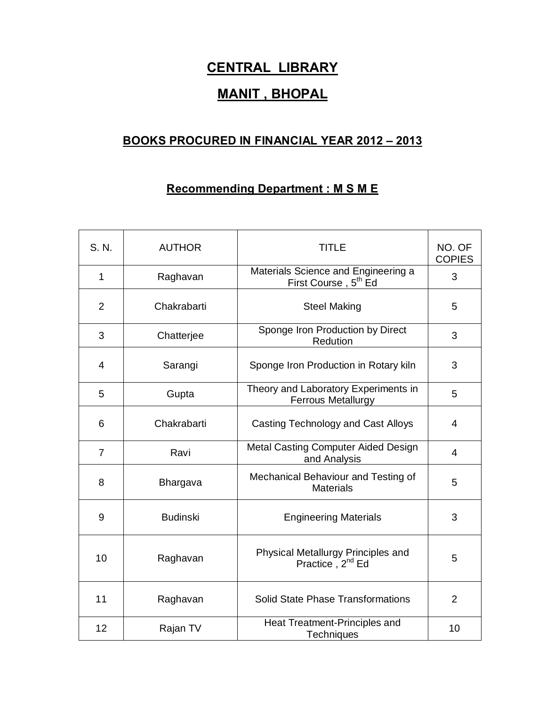## **CENTRAL LIBRARY**

## **MANIT , BHOPAL**

## **BOOKS PROCURED IN FINANCIAL YEAR 2012 – 2013**

## **Recommending Department : M S M E**

| S. N.          | <b>AUTHOR</b>   | <b>TITLE</b>                                                            | NO. OF<br><b>COPIES</b> |
|----------------|-----------------|-------------------------------------------------------------------------|-------------------------|
| $\mathbf{1}$   | Raghavan        | Materials Science and Engineering a<br>First Course, 5 <sup>th</sup> Ed | 3                       |
| 2              | Chakrabarti     | <b>Steel Making</b>                                                     | 5                       |
| 3              | Chatterjee      | Sponge Iron Production by Direct<br>Redution                            | 3                       |
| 4              | Sarangi         | Sponge Iron Production in Rotary kiln                                   | 3                       |
| 5              | Gupta           | Theory and Laboratory Experiments in<br><b>Ferrous Metallurgy</b>       | 5                       |
| 6              | Chakrabarti     | <b>Casting Technology and Cast Alloys</b>                               | $\overline{4}$          |
| $\overline{7}$ | Ravi            | Metal Casting Computer Aided Design<br>and Analysis                     | $\overline{4}$          |
| 8              | Bhargava        | Mechanical Behaviour and Testing of<br><b>Materials</b>                 | 5                       |
| 9              | <b>Budinski</b> | <b>Engineering Materials</b>                                            | 3                       |
| 10             | Raghavan        | Physical Metallurgy Principles and<br>Practice, 2 <sup>nd</sup> Ed      | 5                       |
| 11             | Raghavan        | <b>Solid State Phase Transformations</b>                                | $\overline{2}$          |
| 12             | Rajan TV        | Heat Treatment-Principles and<br>Techniques                             | 10                      |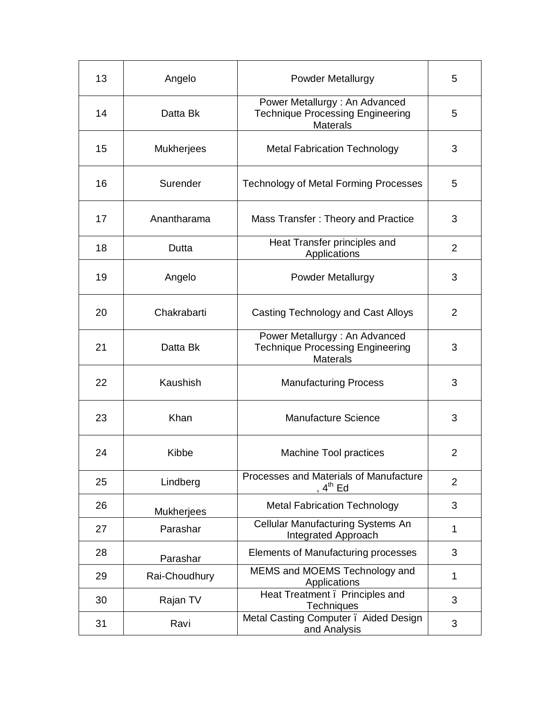| 13 | Angelo            | <b>Powder Metallurgy</b>                                                                    | 5              |
|----|-------------------|---------------------------------------------------------------------------------------------|----------------|
| 14 | Datta Bk          | Power Metallurgy: An Advanced<br><b>Technique Processing Engineering</b><br><b>Materals</b> | 5              |
| 15 | <b>Mukherjees</b> | <b>Metal Fabrication Technology</b>                                                         | 3              |
| 16 | Surender          | <b>Technology of Metal Forming Processes</b>                                                | 5              |
| 17 | Anantharama       | Mass Transfer: Theory and Practice                                                          | 3              |
| 18 | Dutta             | Heat Transfer principles and<br>Applications                                                | 2              |
| 19 | Angelo            | <b>Powder Metallurgy</b>                                                                    | 3              |
| 20 | Chakrabarti       | Casting Technology and Cast Alloys                                                          | 2              |
| 21 | Datta Bk          | Power Metallurgy: An Advanced<br><b>Technique Processing Engineering</b><br><b>Materals</b> | 3              |
| 22 | Kaushish          | <b>Manufacturing Process</b>                                                                | 3              |
| 23 | Khan              | Manufacture Science                                                                         | 3              |
| 24 | Kibbe             | Machine Tool practices                                                                      | $\overline{2}$ |
| 25 | Lindberg          | Processes and Materials of Manufacture<br>, 4 <sup>th</sup> Ed                              | $\overline{2}$ |
| 26 | <b>Mukherjees</b> | <b>Metal Fabrication Technology</b>                                                         | 3              |
| 27 | Parashar          | Cellular Manufacturing Systems An<br>Integrated Approach                                    | 1              |
| 28 | Parashar          | Elements of Manufacturing processes                                                         | 3              |
| 29 | Rai-Choudhury     | MEMS and MOEMS Technology and<br>Applications                                               | $\mathbf{1}$   |
| 30 | Rajan TV          | Heat Treatment. Principles and<br>Techniques                                                | 3              |
| 31 | Ravi              | Metal Casting Computer . Aided Design<br>and Analysis                                       | 3              |